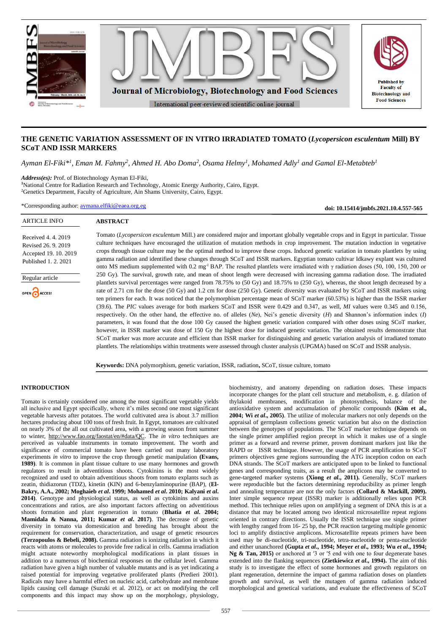

# **THE GENETIC VARIATION ASSESSMENT OF IN VITRO IRRADIATED TOMATO (***Lycopersicon esculentum* **Mill) BY SCoT AND ISSR MARKERS**

*Ayman El-Fiki\*<sup>1</sup> , Eman M. Fahmy<sup>2</sup> , Ahmed H. Abo Doma<sup>2</sup> , Osama Helmy<sup>1</sup> , Mohamed Adly<sup>1</sup> and Gamal El-Metabteb<sup>1</sup>*

*Address(es):* Prof. of Biotechnology Ayman El-Fiki,

**<sup>1</sup>**National Centre for Radiation Research and Technology, Atomic Energy Authority, Cairo, Egypt. <sup>2</sup>Genetics Department, Faculty of Agriculture, Ain Shams University, Cairo, Egypt.

\*Corresponding author: [aymana.elfiki@eaea.org.eg](mailto:aymana.elfiki@eaea.org.eg)

**ABSTRACT**

**doi: 10.15414/jmbfs.2021.10.4.557-565**

# Received 4. 4. 2019 Revised 26. 9. 2019 Accepted 19. 10. 2019 Published 1. 2. 2021



ARTICLE INFO

Access

Tomato (*Lycopersicon esculentum* Mill.) are considered major and important globally vegetable crops and in Egypt in particular. Tissue culture techniques have encouraged the utilization of mutation methods in crop improvement. The mutation induction in vegetative crops through tissue culture may be the optimal method to improve these crops. Induced genetic variation in tomato plantlets by using gamma radiation and identified these changes through SCoT and ISSR markers. Egyptian tomato cultivar Idkawy explant was cultured onto MS medium supplemented with 0.2 mg<sup>-l</sup> BAP. The resulted plantlets were irradiated with γ radiation doses (50, 100, 150, 200 or 250 Gy). The survival, growth rate, and mean of shoot length were decreased with increasing gamma radiation dose. The irradiated plantlets survival percentages were ranged from 78.75% to (50 Gy) and 18.75% to (250 Gy), whereas, the shoot length decreased by a rate of 2.71 cm for the dose (50 Gy) and 1.2 cm for dose (250 Gy). Genetic diversity was evaluated by SCoT and ISSR markers using ten primers for each. It was noticed that the polymorphism percentage mean of SCoT marker (60.53%) is higher than the ISSR marker (39.6). The *PIC* values average for both markers SCoT and ISSR were 0.429 and 0.347, as well, *MI* values were 0.345 and 0.156, respectively. On the other hand, the effective no. of alleles (*Ne*), Nei's genetic diversity (*H*) and Shannon's information index (*I*) parameters, it was found that the dose 100 Gy caused the highest genetic variation compared with other doses using SCoT marker, however, in ISSR marker was dose of 150 Gy the highest dose for induced genetic variation. The obtained results demonstrate that SCoT marker was more accurate and efficient than ISSR marker for distinguishing and genetic variation analysis of irradiated tomato plantlets. The relationships within treatments were assessed through cluster analysis (UPGMA) based on SCoT and ISSR analysis.

**Keywords:** DNA polymorphism, genetic variation, ISSR, radiation**,** SCoT, tissue culture, tomato

## **INTRODUCTION**

Tomato is certainly considered one among the most significant vegetable yields all inclusive and Egypt specifically, where it's miles second one most significant vegetable harvests after potatoes. The world cultivated area is about 3.7 million hectares producing about 100 tons of fresh fruit. In Egypt, tomatoes are cultivated on nearly 3% of the all out cultivated area, with a growing season from summer to winter, [http://www.fao.org/faostat/en/#data/QC.](http://www.fao.org/faostat/en/#data/QC) The *in vitro* techniques are perceived as valuable instruments in tomato improvement. The worth and significance of commercial tomato have been carried out many laboratory experiments *in vitr*o to improve the crop through genetic manipulation **(Evans, 1989)**. It is common in plant tissue culture to use many hormones and growth regulators to result in adventitious shoots. Cytokinins is the most widely recognized and used to obtain adventitious shoots from tomato explants such as zeatin, thidiazorun (TDZ), kinetin (KIN) and 6-benzylaminopurine (BAP), (**El-Bakry, A.A., 2002; Moghaieb** *et al***. 1999; Mohamed** *et al***. 2010; Kalyani** *et al***. 2014)**. Genotype and physiological status, as well as cytokinins and auxins concentrations and ratios, are also important factors affecting on adventitious shoots formation and plant regeneration in tomato (**Bhatia** *et al***. 2004; Mamidala & Nanna, 2011; Kumar** *et al.* **2017**). The decrease of genetic diversity in tomato via domestication and breeding has brought about the requirement for conservation, characterization, and usage of genetic resources **(Terzopoulos & Bebeli, 2008).** Gamma radiation is ionizing radiation in which it reacts with atoms or molecules to provide free radical in cells. Gamma irradiation might actuate noteworthy morphological modifications in plant tissues in addition to a numerous of biochemical responses on the cellular level. Gamma radiation have given a high number of valuable mutants and is as yet indicating a raised potential for improving vegetative proliferated plants (Predieri 2001). Radicals may have a harmful effect on nucleic acid, carbohydrate and membrane lipids causing cell damage (Suzuki et al. 2012), or act on modifying the cell components and this impact may show up on the morphology, physiology,

biochemistry, and anatomy depending on radiation doses. These impacts incorporate changes for the plant cell structure and metabolism, e. g. dilation of thylakoid membranes, modification in photosynthesis, balance of the antioxidative system and accumulation of phenolic compounds **(Kim et al., 2004; Wi** *et al***., 2005)**. The utilize of molecular markers not only depends on the appraisal of germplasm collections genetic variation but also on the distinction between the genotypes of populations. The SCoT marker technique depends on the single primer amplified region precept in which it makes use of a single primer as a forward and reverse primer, proven dominant markers just like the RAPD or ISSR technique. However, the usage of PCR amplification to SCoT primers objectives gene regions surrounding the ATG inception codon on each DNA strands. The SCoT markers are anticipated upon to be linked to functional genes and corresponding traits, as a result the amplicons may be converted to gene-targeted marker systems **(Xiong** *et al***., 2011).** Generally, SCoT markers were reproducible but the factors determining reproducibility as primer length and annealing temperature are not the only factors **(Collard & Mackill, 2009).**  Inter simple sequence repeat (ISSR) marker is additionally relies upon PCR method. This technique relies upon on amplifying a segment of DNA this is at a distance that may be located among two identical microsatellite repeat regions oriented in contrary directions. Usually the ISSR technique use single primer with lengthy ranged from 16-25 bp, the PCR reaction targeting multiple genomic loci to amplify distinctive amplicons. Microsatellite repeats primers have been used may be di-nucleotide, tri-nucleotide, tetra-nucleotide or penta-nucleotide and either unanchored **(Gupta** *et al***., 1994; Meyer** *et al***., 1993; Wu** *et al***., 1994; Ng & Tan, 2015)** or anchored at ʹ3 or ʹ5 end with one to four degenerate bases extended into the flanking sequences **(Zietkiewicz** *et al***., 1994).** The aim of this study is to investigate the effect of some hormones and growth regulators on plant regeneration, determine the impact of gamma radiation doses on plantlets growth and survival, as well the mutagen of gamma radiation induced morphological and genetical variations, and evaluate the effectiveness of SCoT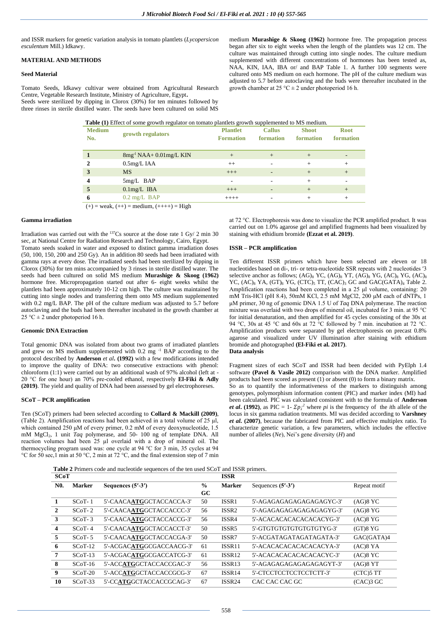and ISSR markers for genetic variation analysis in tomato plantlets (*Lycopersicon esculentum* Mill.) Idkawy.

# **MATERIAL AND METHODS**

## **Seed Material**

Tomato Seeds, Idkawy cultivar were obtained from Agricultural Research Centre, Vegetable Research Institute, Ministry of Agriculture, Egypt**.**  Seeds were sterilized by dipping in Clorox (30%) for ten minutes followed by three rinses in sterile distilled water. The seeds have been cultured on solid MS

medium **Murashige & Skoog (1962)** hormone free. The propagation process began after six to eight weeks when the length of the plantlets was 12 cm. The culture was maintained through cutting into single nodes. The culture medium supplemented with different concentrations of hormones has been tested as, NAA, KIN, IAA, IBA or/ and BAP Table 1. A further 100 segments were cultured onto MS medium on each hormone. The pH of the culture medium was adjusted to 5.7 before autoclaving and the buds were thereafter incubated in the growth chamber at 25 °C  $\pm$  2 under photoperiod 16 h.

| <b>Medium</b><br>No.                          | growth regulators            | <b>Plantlet</b><br><b>Formation</b> | <b>Callus</b><br>formation | <b>Shoot</b><br>formation | <b>Root</b><br>formation |  |  |  |  |
|-----------------------------------------------|------------------------------|-------------------------------------|----------------------------|---------------------------|--------------------------|--|--|--|--|
|                                               | $8mg^{-1}NAA + 0.01mg/L$ KIN | $+$                                 | $+$                        | $+$                       |                          |  |  |  |  |
|                                               | $0.5$ mg/L IAA               | $^{++}$                             |                            | $+$                       | $+$                      |  |  |  |  |
| 3                                             | <b>MS</b>                    | $+++$                               |                            | $+$                       | $+$                      |  |  |  |  |
|                                               | $5mg/L$ BAP                  | ۰                                   |                            | $+$                       |                          |  |  |  |  |
| 5                                             | $0.1$ mg/L IBA               | $+++$                               |                            | $+$                       | $+$                      |  |  |  |  |
| 6                                             | $0.2 \text{ mg/L}$ BAP       | $++++$                              |                            | $+$                       | $^{+}$                   |  |  |  |  |
| $(+)$ = weak, $(++)$ = medium, $(+++)$ = High |                              |                                     |                            |                           |                          |  |  |  |  |

**Table (1)** Effect of some growth regulator on tomato plantlets growth supplemented to MS medium.

**Gamma irradiation** 

Irradiation was carried out with the  $137Cs$  source at the dose rate 1 Gy/ 2 min 30 sec, at National Centre for Radiation Research and Technology, Cairo, Egypt.

Tomato seeds soaked in water and exposed to distinct gamma irradiation doses (50, 100, 150, 200 and 250 Gy). An in addition 80 seeds had been irradiated with gamma rays at every dose. The irradiated seeds had been sterilized by dipping in Clorox (30%) for ten mins accompanied by 3 rinses in sterile distilled water. The seeds had been cultured on solid MS medium **Murashige & Skoog (1962)** hormone free. Micropropagation started out after 6- eight weeks whilst the plantlets had been approximately 10-12 cm high. The culture was maintained by cutting into single nodes and transferring them onto MS medium supplemented with 0.2 mg/L BAP. The pH of the culture medium was adjusted to 5.7 before autoclaving and the buds had been thereafter incubated in the growth chamber at 25 °C  $\pm$  2 under photoperiod 16 h.

### **Genomic DNA Extraction**

Total genomic DNA was isolated from about two grams of irradiated plantlets and grew on MS medium supplemented with 0.2 mg <sup>-1</sup> BAP according to the protocol described by **Anderson** *et al***. (1992)** with a few modifications intended to improve the quality of DNA: two consecutive extractions with phenol: chloroform (1:1) were carried out by an additional wash of 97% alcohol (left at - 20 °C for one hour) an 70% pre-cooled ethanol, respectively **El-Fiki & Adly (2019)**. The yield and quality of DNA had been assessed by gel electrophoreses.

## **SCoT – PCR amplification**

Ten (SCoT) primers had been selected according to **Collard & Mackill (2009)**, (Table 2). Amplification reactions had been achieved in a total volume of  $25 \mu l$ , which contained 250 μM of every primer, 0.2 mM of every deoxynucleotide, 1.5 mM MgCl2, 1 unit *Taq* polymerase, and 50- 100 ng of template DNA. All reaction volumes had been 25 µl overlaid with a drop of mineral oil. The thermocycling program used was: one cycle at 94 °C for 3 min, 35 cycles at 94 °C for 50 sec,1 min at 50 °C, 2 min at 72 °C, and the final extension step of 7 min at 72 °C. Electrophoresis was done to visualize the PCR amplified product. It was carried out on 1.0% agarose gel and amplified fragments had been visualized by staining with ethidium bromide **(Ezzat et al. 2019)**.

#### **ISSR – PCR amplification**

Ten different ISSR primers which have been selected are eleven or 18 nucleotides based on di-, tri- or tetra-nucleotide SSR repeats with 2 nucleotides ′3 selective anchor as follows;  $(AG)_{8}$  YC,  $(AG)_{8}$  YT,  $(AG)_{8}$  YG,  $(AC)_{8}$  YG,  $(AC)_{8}$ YC,  $(AC)_{8}$  YA,  $(GT)_{8}$  YG,  $(TTC)_{5}$  TT,  $(CAC)_{3}$  GC and  $GAC(GATA)_{4}$  Table 2. Amplification reactions had been completed in a 25 μl volume, containing: 20 mM Tris-HCl (pH 8.4), 50mM KCl, 2.5 mM MgCl2, 200 μM each of dNTPs, 1 μM primer, 30 ng of genomic DNA 1.5 U of *Taq* DNA polymerase. The reaction mixture was overlaid with two drops of mineral oil, incubated for 3 min. at 95 °C for initial denaturation, and then amplified for 45 cycles consisting of the 30s at 94 °C, 30s at 45 °C and 60s at 72  ${}^{\circ}\text{C}$  followed by 7 min. incubation at 72 °C. Amplification products were separated by gel electrophoresis on precast 0.8% agarose and visualized under UV illumination after staining with ethidium bromide and photographed **(El-Fiki et al. 2017)**. **Data analysis** 

Fragment sizes of each SCoT and ISSR had been decided with PyElph 1.4 software **(Pavel & Vasile 2012)** comparison with the DNA marker. Amplified products had been scored as present (1) or absent (0) to form a binary matrix. So as to quantify the informativeness of the markers to distinguish among genotypes, polymorphism information content (PIC) and marker index (MI) had been calculated. PIC was calculated consistent with to the formula of **Anderson**  *et al.* (1992), as PIC = 1-  $\sum p_i^2$  where *pi* is the frequency of the *i*th allele of the locus in six gamma radiation treatments. MI was decided according to **Varshney**  *et al***. (2007)**, because the fabricated from PIC and effective multiplex ratio. To characterize genetic variation, a few parameters, which includes the effective number of alleles (*Ne*), Nei's gene diversity (*H*) and

**Table 2** Primers code and nucleotide sequences of the ten used SCoT and ISSR primers.

| SCoT             |               |                          |               | <b>ISSR</b>        |                          |              |
|------------------|---------------|--------------------------|---------------|--------------------|--------------------------|--------------|
| N <sub>0</sub> . | <b>Marker</b> | Sequences $(5' - 3')$    | $\frac{0}{0}$ | <b>Marker</b>      | Sequences $(5'$ -3')     | Repeat motif |
|                  |               |                          | GC.           |                    |                          |              |
| 1                | $SCoT-1$      | 5'-CAACAATGGCTACCACCA-3' | 50            | ISSR1              | 5'-AGAGAGAGAGAGAGAGYC-3' | $(AG)8$ YC   |
| $\mathbf{2}$     | $SCoT-2$      | 5'-CAACAATGGCTACCACCC-3' | 56            | ISSR <sub>2</sub>  | 5'-AGAGAGAGAGAGAGAGYG-3' | $(AG)8$ YG   |
| 3                | $SCoT-3$      | 5'-CAACAATGGCTACCACCG-3' | 56            | ISSR4              | 5'-ACACACACACACACACYG-3' | $(AC)8$ YG   |
| 4                | $SCoT-4$      | 5'-CAACAATGGCTACCACCT-3' | 50            | ISSR <sub>5</sub>  | 5'-GTGTGTGTGTGTGTGTYG-3' | $(GT)8$ YG   |
| 5.               | $SCoT-5$      | 5'-CAACAATGGCTACCACGA-3' | 50            | ISSR7              | 5'-ACGATAGATAGATAGATA-3' | GAC(GATA)4   |
| 6                | $SCoT-12$     | 5'-ACGACATGGCGACCAACG-3' | 61            | ISSR11             | 5'-ACACACACACACACACYA-3' | $(AC)8$ YA   |
| 7                | $SCoT-13$     | 5'-ACGACATGGCGACCATCG-3' | 61            | <b>ISSR12</b>      | 5'-ACACACACACACACACYC-3' | $(AC)8$ YC   |
| 8                | $SCoT-16$     | 5'-ACCATGGCTACCACCGAC-3' | 56            | ISSR <sub>13</sub> | 5'-AGAGAGAGAGAGAGAGYT-3' | $(AG)8$ YT   |
| 9                | $SCoT-20$     | 5'-ACCATGGCTACCACCGCG-3' | 67            | ISSR <sub>14</sub> | 5'-CTCCTCCTCCTCCTCTT-3'  | $(CTC)5$ TT  |
| 10               | $SCoT-33$     | 5'-CCATGGCTACCACCGCAG-3' | 67            | <b>ISSR24</b>      | CAC CAC CAC GC           | $(CAC)3$ GC  |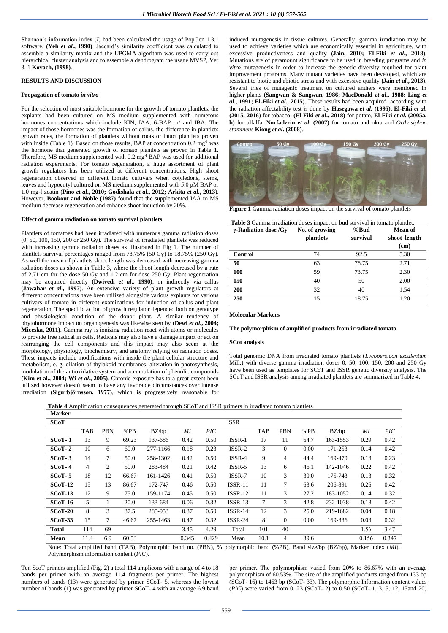Shannon's information index (*I*) had been calculated the usage of PopGen 1.3.1 software, **(Yeh** *et al***., 1990)**. Jaccard's similarity coefficient was calculated to assemble a similarity matrix and the UPGMA algorithm was used to carry out hierarchical cluster analysis and to assemble a dendrogram the usage MVSP, Ver 3. 1 **Kovach, (1998)**.

# **RESULTS AND DISCUSSION**

#### **Propagation of tomato** *in vitro*

For the selection of most suitable hormone for the growth of tomato plantlets, the explants had been cultured on MS medium supplemented with numerous hormones concentrations which include KIN, IAA, 6-BAP or/ and IBA**.** The impact of those hormones was the formation of callus, the difference in plantlets growth rates, the formation of plantlets without roots or intact plantlets proven with inside (Table 1). Based on those results, BAP at concentration  $0.2 \text{ mg}^{-1}$  was the hormone that generated growth of tomato plantlets as proven in Table 1. Therefore, MS medium supplemented with 0.2 mg<sup>-l</sup> BAP was used for additional radiation experiments. For tomato regeneration, a huge assortment of plant growth regulators has been utilized at different concentrations. High shoot regeneration observed in different tomato cultivars when cotyledons, stems, leaves and hypocotyl cultured on MS medium supplemented with 5.0 μM BAP or 1.0 mg-l zeatin (**Pino** *et al***., 2010; Godishala** *et al***., 2012; Arkita** *et al***., 2013**). However, **Bookout and Noble (1987)** found that the supplemented IAA to MS medium decrease regeneration and enhance shoot induction by 20%.

#### **Effect of gamma radiation on tomato survival plantlets**

Plantlets of tomatoes had been irradiated with numerous gamma radiation doses (0, 50, 100, 150, 200 or 250 Gy). The survival of irradiated plantlets was reduced with increasing gamma radiation doses as illustrated in Fig 1. The number of plantlets survival percentages ranged from 78.75% (50 Gy) to 18.75% (250 Gy). As well the mean of plantlets shoot length was decreased with increasing gamma radiation doses as shown in Table 3, where the shoot length decreased by a rate of 2.71 cm for the dose 50 Gy and 1.2 cm for dose  $250$  Gy. Plant regeneration may be acquired directly **(Dwivedi** *et al***., 1990)**, or indirectly via callus **(Jawahar** *et al***., 1997)**. An extensive variety of plant growth regulators at different concentrations have been utilized alongside various explants for various cultivars of tomato in different examinations for induction of callus and plant regeneration. The specific action of growth regulator depended both on genotype and physiological condition of the donor plant. A similar tendency of phytohormone impact on organogenesis was likewise seen by **(Dewi** *et al***., 2004; Miceska, 2011)**. Gamma ray is ionizing radiation react with atoms or molecules to provide free radical in cells. Radicals may also have a damage impact or act on rearranging the cell components and this impact may also seem at the morphology, physiology, biochemistry, and anatomy relying on radiation doses. These impacts include modifications with inside the plant cellular structure and metabolism, e. g. dilation of thylakoid membranes, alteration in photosynthesis, modulation of the antioxidative system and accumulation of phenolic compounds **(Kim et al., 2004; Wi** *et al.***, 2005)**. Chronic exposure has to a great extent been utilized however doesn't seem to have any favorable circumstances over intense irradiation **(Sigurbjörnsson, 1977)**, which is progressively reasonable for

induced mutagenesis in tissue cultures. Generally, gamma irradiation may be used to achieve varieties which are economically essential in agriculture, with excessive productiveness and quality **(Jain, 2010; El-Fiki** *et al***., 2018)**. Mutations are of paramount significance to be used in breeding programs and *in vitro* mutagenesis in order to increase the genetic diversity required for plant improvement programs. Many mutant varieties have been developed, which are resistant to biotic and abiotic stress and with excessive quality **(Jain** *et al***., 2013)**. Several tries of mutagenic treatment on cultured anthers were mentioned in higher plants **(Sangwan & Sangwan, 1986; MacDonald** *et al***., 1988; Ling** *et al***., 1991; El-Fiki** *et al***., 2015)**. These results had been acquired according with the radiation affectability test is done by **Hasegawa** *et al***. (1995), El-Fiki** *et al***. (2015, 2016)** for tobacco, **(El-Fiki** *et al***., 2018)** for potato, **El-Fiki** *et al***. (2005a, b)** for alfalfa, **Norfadzrin** *et al***. (2007)** for tomato and okra and *Orthosiphon stamineus* **Kiong** *et al***. (2008)**.



**Figure 1** Gamma radiation doses impact on the survival of tomato plantlets

| <b>Table 3</b> Gamma irradiation doses impact on bud survival in tomato plantlet. |                |          |              |  |  |  |  |  |
|-----------------------------------------------------------------------------------|----------------|----------|--------------|--|--|--|--|--|
| $\gamma$ -Radiation dose /Gv                                                      | No. of growing | %Bud     | Mean of      |  |  |  |  |  |
|                                                                                   | plantlets      | survival | shoot length |  |  |  |  |  |
|                                                                                   |                |          | (cm)         |  |  |  |  |  |
| Control                                                                           | 74             | 92.5     | 5.30         |  |  |  |  |  |
| 50                                                                                | 63             | 78.75    | 2.71         |  |  |  |  |  |
| 100                                                                               | 59             | 73.75    | 2.30         |  |  |  |  |  |
| 150                                                                               | 40             | 50       | 2.00         |  |  |  |  |  |
| 200                                                                               | 32             | 40       | 1.54         |  |  |  |  |  |
| 250                                                                               | 15             | 18.75    | 1.20         |  |  |  |  |  |
|                                                                                   |                |          |              |  |  |  |  |  |

### **Molecular Markers**

#### **The polymorphism of amplified products from irradiated tomato**

#### **SCot analysis**

Total genomic DNA from irradiated tomato plantlets (*Lycopersicon esculentum* Mill.) with diverse gamma irradiation doses 0, 50, 100, 150, 200 and 250 Gy have been used as templates for SCoT and ISSR genetic diversity analysis. The SCoT and ISSR analysis among irradiated plantlets are summarized in Table 4.

**Table 4** Amplification consequences generated through SCoT and ISSR primers in irradiated tomato plantlets

| <b>Marker</b> |                |            |       |          |       |                  |                |            |              |      |          |       |                  |
|---------------|----------------|------------|-------|----------|-------|------------------|----------------|------------|--------------|------|----------|-------|------------------|
| SCoT          |                |            |       |          |       |                  | <b>ISSR</b>    |            |              |      |          |       |                  |
|               | TAB            | <b>PBN</b> | %PB   | BZ/bp    | ΜI    | $\overline{PIC}$ |                | <b>TAB</b> | <b>PBN</b>   | %PB  | BZ/bp    | ΜI    | $\overline{PIC}$ |
| $SCoT-1$      | 13             | 9          | 69.23 | 137-686  | 0.42  | 0.50             | ISSR-1         | 17         | 11           | 64.7 | 163-1553 | 0.29  | 0.42             |
| $SCoT-2$      | 10             | 6          | 60.0  | 277-1166 | 0.18  | 0.23             | $ISSR-2$       | 3          | $\mathbf{0}$ | 0.00 | 171-253  | 0.14  | 0.42             |
| $SCoT-3$      | 14             | 7          | 50.0  | 258-1302 | 0.42  | 0.50             | $ISSR-4$       | 9          | 4            | 44.4 | 169-470  | 0.13  | 0.23             |
| $SCoT-4$      | $\overline{4}$ | 2          | 50.0  | 283-484  | 0.21  | 0.42             | $ISSR-5$       | 13         | 6            | 46.1 | 142-1046 | 0.22  | 0.42             |
| $SCoT-5$      | 18             | 12         | 66.67 | 161-1426 | 0.41  | 0.50             | ISSR-7         | 10         | 3            | 30.0 | 175-743  | 0.13  | 0.32             |
| $SCoT-12$     | 15             | 13         | 86.67 | 172-747  | 0.46  | 0.50             | $ISSR-11$      | 11         | $\tau$       | 63.6 | 206-891  | 0.26  | 0.42             |
| $SCoT-13$     | 12             | 9          | 75.0  | 159-1174 | 0.45  | 0.50             | <b>ISSR-12</b> | 11         | 3            | 27.2 | 183-1052 | 0.14  | 0.32             |
| $SCoT-16$     | 5              | 1          | 20.0  | 133-684  | 0.06  | 0.32             | $ISSR-13$      | 7          | 3            | 42.8 | 232-1038 | 0.18  | 0.42             |
| $SCoT-20$     | 8              | 3          | 37.5  | 285-953  | 0.37  | 0.50             | $ISSR-14$      | 12         | 3            | 25.0 | 219-1682 | 0.04  | 0.18             |
| $SCoT-33$     | 15             | 7          | 46.67 | 255-1463 | 0.47  | 0.32             | $ISSR-24$      | 8          | $\Omega$     | 0.00 | 169-836  | 0.03  | 0.32             |
| <b>Total</b>  | 114            | 69         |       |          | 3.45  | 4.29             | Total          | 101        | 40           |      |          | 1.56  | 3.47             |
| Mean          | 11.4           | 6.9        | 60.53 |          | 0.345 | 0.429            | Mean           | 10.1       | 4            | 39.6 |          | 0.156 | 0.347            |

Note: Total amplified band (TAB), Polymorphic band no. (PBN), % polymorphic band (%PB), Band size/bp (BZ/bp), Marker index (*MI*), Polymorphism information content (*PIC*).

Ten ScoT primers amplified (Fig. 2) a total 114 amplicons with a range of 4 to 18 bands per primer with an average 11.4 fragments per primer. The highest numbers of bands (13) were generated by primer SCoT- 5, whereas the lowest number of bands (1) was generated by primer SCoT- 4 with an average 6.9 band per primer. The polymorphism varied from 20% to 86.67% with an average polymorphism of 60.53%. The size of the amplified products ranged from 133 bp (SCoT- 16) to 1463 bp (SCoT- 33). The polymorphic Information content values (*PIC*) were varied from 0. 23 (SCoT- 2) to 0.50 (SCoT- 1, 3, 5, 12, 13and 20)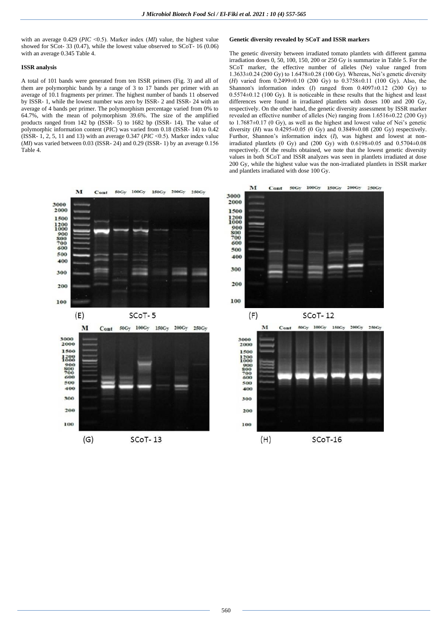with an average 0.429 (*PIC* <0.5). Marker index (*MI*) value, the highest value showed for SCot- 33 (0.47), while the lowest value observed to SCoT- 16 (0.06) with an average 0.345 Table 4.

#### **ISSR analysis**

A total of 101 bands were generated from ten ISSR primers (Fig. 3) and all of them are polymorphic bands by a range of 3 to 17 bands per primer with an average of 10.1 fragments per primer. The highest number of bands 11 observed by ISSR- 1, while the lowest number was zero by ISSR- 2 and ISSR- 24 with an average of 4 bands per primer. The polymorphism percentage varied from 0% to 64.7%, with the mean of polymorphism 39.6%. The size of the amplified products ranged from 142 bp (ISSR- 5) to 1682 bp (ISSR- 14). The value of polymorphic information content (*PIC*) was varied from 0.18 (ISSR- 14) to 0.42 (ISSR- 1, 2, 5, 11 and 13) with an average 0.347 (*PIC* ˂0.5). Marker index value  $(MI)$  was varied between 0.03 (ISSR- 24) and 0.29 (ISSR- 1) by an average 0.156 Table 4.



### **Genetic diversity revealed by SCoT and ISSR markers**

The genetic diversity between irradiated tomato plantlets with different gamma irradiation doses 0, 50, 100, 150, 200 or 250 Gy is summarize in Table 5. For the SCoT marker, the effective number of alleles (Ne) value ranged from 1.3633±0.24 (200 Gy) to 1.6478±0.28 (100 Gy). Whereas, Nei's genetic diversity (*H*) varied from 0.2499±0.10 (200 Gy) to 0.3758±0.11 (100 Gy). Also, the Shannon's information index (*I*) ranged from 0.4097±0.12 (200 Gy) to 0.5574±0.12 (100 Gy). It is noticeable in these results that the highest and least differences were found in irradiated plantlets with doses 100 and 200 Gy, respectively. On the other hand, the genetic diversity assessment by ISSR marker revealed an effective number of alleles (Ne) ranging from 1.6516±0.22 (200 Gy) to 1.7687±0.17 (0 Gy), as well as the highest and lowest value of Nei's genetic diversity (*H*) was  $0.4295 \pm 0.05$  (0 Gy) and  $0.3849 \pm 0.08$  (200 Gy) respectively. Furthor, Shannon's information index (*I*), was highest and lowest at nonirradiated plantlets (0 Gy) and (200 Gy) with  $0.6198\pm0.05$  and  $0.5704\pm0.08$ respectively. Of the results obtained, we note that the lowest genetic diversity values in both SCoT and ISSR analyzes was seen in plantlets irradiated at dose 200 Gy, while the highest value was the non-irradiated plantlets in ISSR marker and plantlets irradiated with dose 100 Gy.



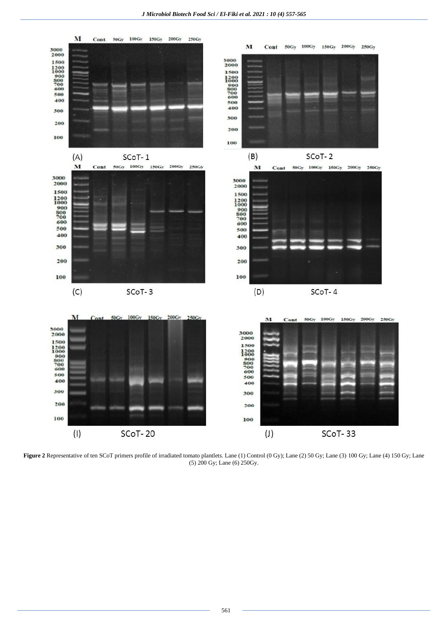

Figure 2 Representative of ten SCoT primers profile of irradiated tomato plantlets. Lane (1) Control (0 Gy); Lane (2) 50 Gy; Lane (3) 100 Gy; Lane (4) 150 Gy; Lane (5) 200 Gy; Lane (6) 250Gy.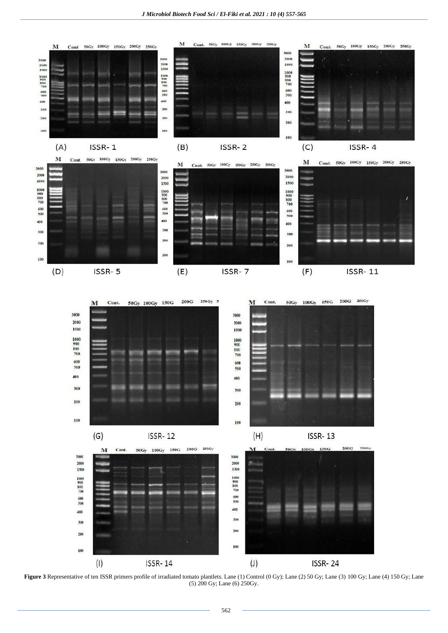



**Figure 3** Representative of ten ISSR primers profile of irradiated tomato plantlets. Lane (1) Control (0 Gy); Lane (2) 50 Gy; Lane (3) 100 Gy; Lane (4) 150 Gy; Lane (5) 200 Gy; Lane (6) 250Gy.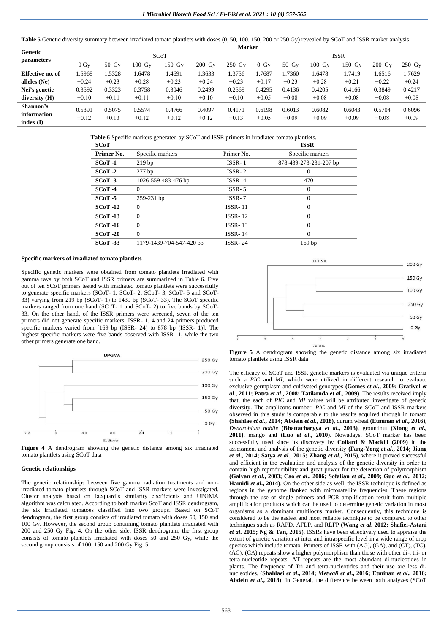Table 5 Genetic diversity summary between irradiated tomato plantlets with doses  $(0, 50, 100, 150, 200$  or 250 Gy) revealed by SCoT and ISSR marker analysis

|                       |                |            |                  |            |                    | <b>Marker</b> |            |            |                  |            |                    |                  |
|-----------------------|----------------|------------|------------------|------------|--------------------|---------------|------------|------------|------------------|------------|--------------------|------------------|
| Genetic<br>parameters |                |            |                  | SCoT       |                    |               |            |            |                  | ISSR       |                    |                  |
|                       | 0 <sub>0</sub> | $50\,Gy$   | $100 \text{ Gy}$ | $150$ Gy   | $200\;\mathrm{Gy}$ | $250$ Gy      | $0$ Gv     | $50\,Gy$   | $100 \text{ Gy}$ | 150 Gy     | $200\;\mathrm{Gy}$ | $250 \text{ Gy}$ |
| Effective no. of      | 1.5968         | .5328      | 1.6478           | 1.4691     | 1.3633             | 1.3756        | .7687      | .7360      | 1.6478           | 1.7419     | .6516              | 1.7629           |
| alleles (Ne)          | $\pm 0.24$     | $\pm 0.23$ | $\pm 0.28$       | $\pm 0.23$ | $\pm 0.24$         | $\pm 0.23$    | $\pm 0.17$ | $\pm 0.23$ | $\pm 0.28$       | $\pm 0.21$ | $\pm 0.22$         | $\pm 0.24$       |
| Nei's genetic         | 0.3592         | 0.3323     | 0.3758           | 0.3046     | 0.2499             | 0.2569        | 0.4295     | 0.4136     | 0.4205           | 0.4166     | 0.3849             | 0.4217           |
| diversity (H)         | $\pm 0.10$     | $\pm 0.11$ | $\pm 0.11$       | $\pm 0.10$ | $\pm 0.10$         | $\pm 0.10$    | $\pm 0.05$ | $\pm 0.08$ | $\pm 0.08$       | $\pm 0.08$ | $\pm 0.08$         | $\pm 0.08$       |
| Shannon's             | 0.5391         | 0.5075     | 0.5574           | 0.4766     | 0.4097             | 0.4171        | 0.6198     | 0.6013     | 0.6082           | 0.6043     | 0.5704             | 0.6096           |
| information           | $\pm 0.12$     | $\pm 0.13$ | $\pm 0.12$       | $\pm 0.12$ | $\pm 0.12$         | $\pm 0.13$    | $\pm 0.05$ | $\pm 0.09$ | $\pm 0.09$       | $\pm 0.09$ | $\pm 0.08$         | $\pm 0.09$       |
| index $(I)$           |                |            |                  |            |                    |               |            |            |                  |            |                    |                  |

| SCoT       |                          |                | <b>ISSR</b>            |
|------------|--------------------------|----------------|------------------------|
| Primer No. | Specific markers         | Primer No.     | Specific markers       |
| $SCoT-1$   | 219 <sub>bp</sub>        | $ISSR-1$       | 878-439-273-231-207 bp |
| $SCoT-2$   | $277$ bp                 | $ISSR-2$       | 0                      |
| $SCoT-3$   | 1026-559-483-476 bp      | $ISSR-4$       | 470                    |
| $SCoT-4$   | $\Omega$                 | $ISSR-5$       | $\Omega$               |
| $SCoT - 5$ | 259-231 bp               | $ISSR-7$       | $\Omega$               |
| $SCoT-12$  | $\Omega$                 | $ISSR-11$      | $\Omega$               |
| $SCoT-13$  | $\Omega$                 | $ISSR-12$      | $\Omega$               |
| $SCoT-16$  | $\Omega$                 | $ISSR-13$      | $\Omega$               |
| $SCoT-20$  | $\Omega$                 | <b>ISSR-14</b> | $\Omega$               |
| $SCoT-33$  | 1179-1439-704-547-420 bp | <b>ISSR-24</b> | 169 <sub>bp</sub>      |

#### **Specific markers of irradiated tomato plantlets**

Specific genetic markers were obtained from tomato plantlets irradiated with gamma rays by both SCoT and ISSR primers are summarized in Table 6. Five out of ten SCoT primers tested with irradiated tomato plantlets were successfully to generate specific markers (SCoT- 1, SCoT- 2, SCoT- 3, SCoT- 5 and SCoT-33) varying from 219 bp (SCoT- 1) to 1439 bp (SCoT- 33). The SCoT specific markers ranged from one band (SCoT- 1 and SCoT- 2) to five bands by SCoT-33. On the other hand, of the ISSR primers were screened, seven of the ten primers did not generate specific markers. ISSR- 1, 4 and 24 primers produced specific markers varied from [169 bp (ISSR- 24) to 878 bp (ISSR- 1)]. The highest specific markers were five bands observed with ISSR- 1, while the two other primers generate one band.



**Figure 4** A dendrogram showing the genetic distance among six irradiated tomato plantlets using SCoT data

### **Genetic relationships**

The genetic relationships between five gamma radiation treatments and nonirradiated tomato plantlets through SCoT and ISSR markers were investigated. Cluster analysis based on Jacquard's similarity coefficients and UPGMA algorithm was calculated. According to both marker ScoT and ISSR dendrogram, the six irradiated tomatoes classified into two groups. Based on SCoT dendrogram, the first group consists of irradiated tomato with doses 50, 150 and 100 Gy. However, the second group containing tomato plantlets irradiated with 200 and 250 Gy Fig. 4. On the other side, ISSR dendrogram, the first group consists of tomato plantlets irradiated with doses 50 and 250 Gy, while the second group consists of 100, 150 and 200 Gy Fig. 5.





The efficacy of SCoT and ISSR genetic markers is evaluated via unique criteria such a *PIC* and *MI*, which were utilized in different research to evaluate exclusive germplasm and cultivated genotypes **(Gomes** *et al***., 2009; Grativol** *et al***., 2011; Patra** *et al***., 2008; Tatikonda** *et al***., 2009)**. The results received imply that, the each of *PIC* and *MI* values will be attributed investigate of genetic diversity. The amplicons number, *PIC* and *MI* of the SCoT and ISSR markers observed in this study is comparable to the results acquired through in tomato **(Shahlae** *et al***., 2014; Abdein** *et al***., 2018)**, durum wheat **(Etminan** *et al***., 2016)**, *Dendrobium nobile* **(Bhattacharyya** *et al***., 2013)**, groundnut **(Xiong** *et al***., 2011)**, mango and **(Luo** *et al***., 2010)**. Nowadays, SCoT marker has been successfully used since its discovery by **Collard & Mackill (2009)** in the assessment and analysis of the genetic diversity **(Fang-Yong** *et al***., 2014; Jiang**  *et al***., 2014; Satya** *et al***., 2015; Zhang** *et al***., 2015)**, where it proved successful and efficient in the evaluation and analysis of the genetic diversity in order to contain high reproducibility and great power for the detection of polymorphism **(Galvan** *et al***., 2003; Cao** *et al***., 2006; Sofalian** *et al***., 2009; Guo** *et al***., 2012; Hamidi** *et al.***, 2014**). On the other side as well, the ISSR technique is defined as regions in the genome flanked with microsatellite frequencies. These regions through the use of single primers and PCR amplification result from multiple amplification products which can be used to determine genetic variation in most organisms as a dominant multilocus marker. Consequently, this technique is considered to be the easiest and most reliable technique to be compared to other techniques such as RAPD, AFLP, and RLFP (**Wang** *et al***. 2012; Shafiei-Astani**  *et al***. 2015; Ng & Tan, 2015**). ISSRs have been effectively used to appraise the extent of genetic variation at inter and intraspecific level in a wide range of crop species which include tomato. Primers of ISSR with (AG), (GA), and (CT), (TC), (AC), (CA) repeats show a higher polymorphism than those with other di-, tri- or tetra-nucleotide repeats. AT repeats are the most abundant di-nucleotides in plants. The frequency of Tri and tetra-nucleotides and their use are less dinucleotides. (**Shahlaei** *et al***., 2014;** *Metwali et al***., 2016; Etminan** *et al***., 2016; Abdein** *et al***., 2018)**. In General, the difference between both analyzes (SCoT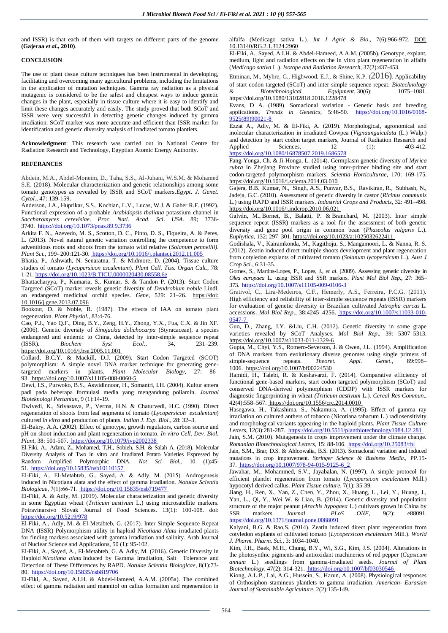and ISSR) is that each of them with targets on different parts of the genome **(Gajeraa** *et al***., 2010)**.

#### **CONCLUSION**

The use of plant tissue culture techniques has been instrumental in developing, facilitating and overcoming many agricultural problems, including the limitations in the application of mutation techniques. Gamma ray radiation as a physical mutagenic is considered to be the safest and cheapest ways to induce genetic changes in the plant, especially in tissue culture where it is easy to identify and limit these changes accurately and easily. The study proved that both SCoT and ISSR were very successful in detecting genetic changes induced by gamma irradiation. SCoT marker was more accurate and efficient than ISSR marker for identification and genetic diversity analysis of irradiated tomato plantlets.

**Acknowledgment**: This research was carried out in National Centre for Radiation Research and Technology, Egyptian Atomic Energy Authority.

#### **REFERANCES**

Abdein, M.A., Abdel-Moneim, D., Taha, S.S., Al-Juhani, W.S.M. & Mohamed S.E. (2018). Molecular characterization and genetic relationships among some tomato genotypes as revealed by ISSR and SCoT markers.*Egypt. J. Genet. Cytol.*, 47: 139-159.

Anderson, J.A., Huprikar, S.S., Kochian, L.V., Lucas, W.J. & Gaber R.F. (1992). Functional expression of a probable *Arabidopsis thaliana* potassium channel in *Saccharomyces cerevisiae*. *Proc. Natl. Acad. Sci*. *USA*. 89; 3736- 3740[. https://doi.org/10.1073/pnas.89.9.3736](https://doi.org/10.1073/pnas.89.9.3736)

Arkita F. N., Azevedo, M. S., Scotton, D. C., Pinto, D. S., Fiqueira, A. & Peres, L. (2013). Novel natural genetic variation controlling the competence to form adventitious roots and shoots from the tomato wild relative (*Solanum pennellii)*. *Plant Sci.,* 199- 200:121-30[. https://doi.org/10.1016/j.plantsci.2012.11.005](https://doi.org/10.1016/j.plantsci.2012.11.005) 

Bhatia, P., Ashwath, N. Senaratna, T. & Midmore, D. (2004). Tissue culture studies of tomato (*Lycopersicon esculentum*). *Plant Cell. Tiss. Organ Cult.,* 78: 1-21[. https://doi.org/10.1023/B:TICU.0000020430.08558.6e](https://doi.org/10.1023/B:TICU.0000020430.08558.6e) 

Bhattacharyya, P., Kumaria, S., Kumar, S. & Tandon P. (2013). Start Codon Targeted (SCoT) marker reveals genetic diversity of *Dendrobium nobile* Lindl. an endangered medicinal orchid species. *Gene*, 529: 21–26. https://doi: 10.1016/j.gene.2013.07.096

Bookout, D. & Noble, R. (1987). The effects of IAA on tomato plant regeneration. *Plant Physiol.,* 83:4-76.

Cao, P.J., Yao Q.F., Ding, B.Y., Zeng, H.Y., Zhong, Y.X., Fua, C.X. & Jin XF. (2006). Genetic diversity of *Sinojackia dolichocarpa* (Styracaceae), a species endangered and endemic to China, detected by inter-simple sequence repeat (ISSR). *Biochem Syst Ecol*., 34, 231–239. <https://doi.org/10.1016/j.bse.2005.11.001>

Collard, B.C.Y. & Mackill, D.J. (2009). Start Codon Targeted (SCOT) polymorphism: A simple novel DNA marker technique for generating genetargeted markers in plants. *Plant Molecular Biology*, 27: 86– 93[. https://doi.org/10.1007/s11105-008-0060-5](https://doi.org/10.1007/s11105-008-0060-5)

Dewi, I.S., Purwoko, B.S., Aswidinnoor, H., Somantri, I.H. (2004). Kultur antera padi pada beberapa formulasi media yang mengandung poliamin. *Journal Bioteknologi Pertanian*, 9 (1):14-19.

Dwivedi, K., Srivastava, P., Verma, H.N. & Chaturvedi, H.C. (1990). Direct regeneration of shoots from leaf segments of tomato (*Lycopersicon esculentum*) cultured *in vitro* and production of plants. *Indian J. Exp. Biol.*, 28: 32–3.

El-Bakry, A.A. (2002). Effect of genotype, growth regulators, carbon source and pH on shoot induction and plant regeneration in tomato. *In vitro Cell. Dev. Biol. Plant,* 38: 501-507[. https://doi.org/10.1079/ivp2002338](https://doi.org/10.1079/ivp2002338) 

El-Fiki, A., Adam, Z., Mohamed, T.H., Sobieh, S.H. & Salah A. (2018). Molecular Diversity Analysis of Two in vitro and Irradiated Potato Varieties Expressed by Random Amplified Polymorphic DNA. *Not Sci Biol*., 10 (1):45- 51[. https://doi.org/10.15835/nsb10110157](https://doi.org/10.15835/nsb10110157)

El-Fiki, A., El-Metabteb, G., Sayed, A. & Adly, M. (2015). Androgenesis induced in Nicotiana alata and the effect of gamma irradiation. *Notulae Scientia Biologicae*, 7(1):66‐71[. https://doi.org/10.15835/nsb719477](https://doi.org/10.15835/nsb719477)

El-Fiki, A. & Adly, M. (2019). Molecular characterization and genetic diversity in some Egyptian wheat (*Triticum aestivum* L.) using microsatellite markers. Potravinarstvo Slovak Journal of Food Sciences. 13(1): 100-108. doi: <https://doi.org/10.5219/978>

El-Fiki, A., Adly, M. & El-Metabteb, G. (2017). Inter Simple Sequence Repeat DNA (ISSR) Polymorphism utility in haploid *Nicotiana Alata* irradiated plants for finding markers associated with gamma irradiation and salinity. Arab Journal of Nuclear Science and Applications, 50 (1): 95-102.

El-Fiki, A., Sayed, A., El-Metabteb, G. & Adly, M. (2016). Genetic Diversity in Haploid *Nicotiana alata* Induced by Gamma Irradiation, Salt Tolerance and Detection of These Differences by RAPD. *Notulae Scientia Biologicae*, 8(1):73- 80[. https://doi.org/10.15835/nsb819706](https://doi.org/10.15835/nsb819706)

El-Fiki, A., Sayed, A.I.H. & Abdel-Hameed, A.A.M. (2005a). The combined effect of gamma radiation and mannitol on callus formation and regeneration in

alfalfa (Medicago sativa L.). *Int J Agric & Bio*., 7(6):966-972. DOI: 10.13140/RG.2.1.3124.2960

El-Fiki, A., Sayed, A.I.H. & Abdel-Hameed, A.A.M. (2005b). Genotype, explant, medium, light and radiation effects on the in vitro plant regeneration in alfalfa (*Medicago sativa* L.). *Isotope and Radiation Research*, 37(2):437-453.

Etminan, M., Myhre, G., Highwood, E.J., & Shine, K.P.  $(2016)$ . Applicability of start codon targeted (SCoT) and inter simple sequence repeat. *Biotechnology & Biotechnological Equipment*, 30(6): 1075–1081. <https://doi.org/10.1080/13102818.2016.1228478>

Evans, D A. (1989). Somaclonal variation - Genetic basis and breeding applications, *Trends in Genetics*, 5:46-50. [https://doi.org/10.1016/0168-](https://doi.org/10.1016/0168-9525(89)90021-8) [9525\(89\)90021-8](https://doi.org/10.1016/0168-9525(89)90021-8)

Ezzat A., Adly, M. & El-Fiki, A. (2019). Morphological, agronomical and molecular characterization in irradiated Cowpea (*Vignaunguiculata* (L.) Walp.) and detection by start codon target markers, Journal of Radiation Research and Applied Sciences, 12 (1): 403-412. <https://doi.org/10.1080/16878507.2019.1686578>

Fang-Yonga, Ch. & Ji-Honga, L. (2014). Germplasm genetic diversity of *Myrica rubra* in Zhejiang Province studied using inter-primer binding site and start codon-targeted polymorphism markers. *Scientia Horticulturae*, 170: 169-175. <https://doi.org/10.1016/j.scienta.2014.03.010>

Gajera[, B.B.](https://www.sciencedirect.com/science/article/pii/S0926669010001718#!) Kumar[, N., S](https://www.sciencedirect.com/science/article/pii/S0926669010001718#!)ingh, A.S., [Punvar, B.S., R](https://www.sciencedirect.com/science/article/pii/S0926669010001718#!)avikiran[, R.,](https://www.sciencedirect.com/science/article/pii/S0926669010001718#!) Subhash[, N.,](https://www.sciencedirect.com/science/article/pii/S0926669010001718#!) Jadeja, [G.C.](https://www.sciencedirect.com/science/article/pii/S0926669010001718#!) (2010). Assessment of genetic diversity in castor (*Ricinus communis* L.) using RAPD and ISSR markers. *Industrial Crops and Products*, 32: 491–498. <https://doi.org/10.1016/j.indcrop.2010.06.021>

Galván, M., Bornet, B., Balatti, P. & Branchard, M. (2003). Inter simple sequence repeat (ISSR) markers as a tool for the assessment of both genetic diversity and gene pool origin in common bean (*Phaseolus vulgaris* L.). *Euphytica*, 132: 297–301[. https://doi.org/10.1023/a:1025032622411](https://doi.org/10.1023/a:1025032622411)

Godishala, V., Kairamkonda, M., Kagithoju, S., Mangamoori, L. & Nanna, R. S. (2012). Zeatin induced direct multiple shoots development and plant regeneration from cotyledon explants of cultivated tomato (*Solanum lycopersicum* L.). *Aust J Crop Sci.,* 6:31-35.

Gomes, S., Martins-Lopes, P., Lopes, J., *et al*. (2009). Assessing genetic diversity in *Olea europaea* L. using ISSR and SSR markers. *Plant Mol Biol Rep*., 27: 365– 373[. https://doi.org/10.1007/s11105-009-0106-3](https://doi.org/10.1007/s11105-009-0106-3)

Grativol, C., Lira-Medeiros, C.F., Hemerly, A.S., Ferreira, P.C.G. (2011). High efficiency and reliability of inter-simple sequence repeats (ISSR) markers for evaluation of genetic diversity in Brazilian cultivated *Jatropha curcas* L. accessions. *Mol Biol Rep*., 38:4245–4256. [https://doi.org/10.1007/s11033-010-](https://doi.org/10.1007/s11033-010-0547-7) [0547-7](https://doi.org/10.1007/s11033-010-0547-7)

Guo, D., Zhang, J.Y. &Liu, C.H. (2012). Genetic diversity in some grape varieties revealed by SCoT Analyses. *Mol Biol Rep*., 39: 5307–5313. <https://doi.org/10.1007/s11033-011-1329-6>

Gupta, M., Chyi, Y.S., Romero-Severson, J. & Owen, J.L. (1994). Amplification of DNA markers from evolutionary diverse genomes using single primers of simple-sequence repeats. Theoret. Appl. Genet., 89:998simple-sequence repeats. *Theoret* Appl. Genet. 1006[. https://doi.org/10.1007/bf00224530](https://doi.org/10.1007/bf00224530)

Hamidi, H., Talebi, R. & Keshavarzi, F. (2014). Comparative efficiency of functional gene-based markers, start codon targeted polymorphism (SCoT) and conserved DNA-derived polymorphism (CDDP) with ISSR markers for diagnostic fingerprinting in wheat *(Triticum aestivum* L.). *Cereal Res Commun*., 42(4):558–567[. https://doi.org/10.1556/crc.2014.0010](https://doi.org/10.1556/crc.2014.0010)

Hasegawa, H., Takashima, S., Nakamura, A. (1995). Effect of gamma ray irradiation on cultured anthers of tobacco (Nicotiana tabacum L.) radiosensitivity and morphological variants appearing in the haploid plants. *Plant Tissue Culture Letters*, 12(3):281-287[. https://doi.org/10.5511/plantbiotechnology1984.12.281](https://doi.org/10.5511/plantbiotechnology1984.12.281) 

Jain, S.M. (2010). Mutagenesis in crops improvement under the climate change. *Romanian Biotechnological Letters*, 15: 88-106[. https://doi.org/10.25083/rbl](https://doi.org/10.25083/rbl)

Jain, S.M., Brar, D.S. & Ahloowalia, B.S. (2013). Somaclonal variation and induced mutations in crop improvement. *Springer Science & Business Media*., PP.15- 37[. https://doi.org/10.1007/978-94-015-9125-6\\_2](https://doi.org/10.1007/978-94-015-9125-6_2)

Jawahar, M., Mohammed, S.V., Jayabalan, N. (1997). A simple protocol for efficient plantlet regeneration from tomato (*Lycopersicon esculentum* Mill.) hypocotyl derived callus. *Plant Tissue culture*, 7(1): 35-39.

Jiang, H., Ren, X., Yan, Z., Chen, Y., Zhou, X., Huang, L., Lei, Y., Huang, J., Yan, L., Qi, Y., Wei W. & Liao, B. (2014). Genetic diversity and population structure of the major peanut (*Arachis hypogaea L.*) cultivars grown in China by<br>SSR markers *Lournal PLOS ONE* 9(2): e88091 markers. *Journal PLOS ONE* <https://doi.org/10.1371/journal.pone.0088091>

Kalyani, B.G. & Rao,S. (2014). Zeatin induced direct plant regeneration from cotyledon explants of cultivated tomato (*Lycopersicon esculentum* Mill.). *World J. Pharm. Pharm. Sci.,* 3: 1034-1040.

Kim, J.H., Baek, M.H., Chung, B.Y., Wi, S.G., Kim, J.S. (2004). Alterations in the photosynthic pigments and antioxidant machineries of red pepper (*Capsicum annum* L.) seedlings from gamma-irradiated seeds. *Journal of Plant Biotechnology*, 47(2): 314-321[. https://doi.org/10.1007/bf03030546](https://doi.org/10.1007/bf03030546)

Kiong, A.L.P., Lai, A.G., Hussein, S., Harun, A. (2008). Physiological responses of Orthosiphon stamineus plantlets to gamma irradiation. *American- Eurasian Journal of Sustainable Agriculture*, 2(2):135-149.